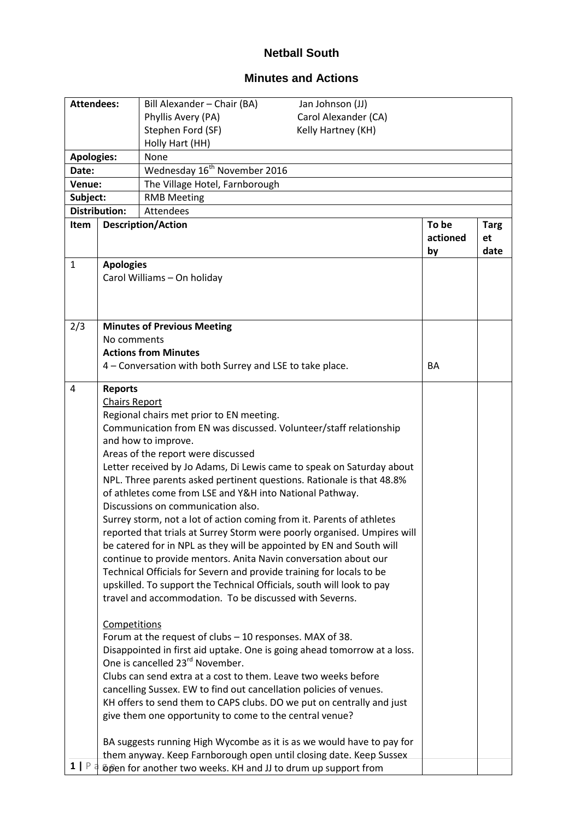## **Netball South**

## **Minutes and Actions**

| <b>Attendees:</b> |                                        | Bill Alexander - Chair (BA)                                                                                                                                                                                                                                                                                                                                                                                                                                                                                                                                                                                                                                                                                                                                                                                                                                                                                                                | Jan Johnson (JJ)     |                         |                           |  |
|-------------------|----------------------------------------|--------------------------------------------------------------------------------------------------------------------------------------------------------------------------------------------------------------------------------------------------------------------------------------------------------------------------------------------------------------------------------------------------------------------------------------------------------------------------------------------------------------------------------------------------------------------------------------------------------------------------------------------------------------------------------------------------------------------------------------------------------------------------------------------------------------------------------------------------------------------------------------------------------------------------------------------|----------------------|-------------------------|---------------------------|--|
|                   |                                        | Phyllis Avery (PA)                                                                                                                                                                                                                                                                                                                                                                                                                                                                                                                                                                                                                                                                                                                                                                                                                                                                                                                         | Carol Alexander (CA) |                         |                           |  |
|                   |                                        | Stephen Ford (SF)                                                                                                                                                                                                                                                                                                                                                                                                                                                                                                                                                                                                                                                                                                                                                                                                                                                                                                                          | Kelly Hartney (KH)   |                         |                           |  |
|                   |                                        | Holly Hart (HH)                                                                                                                                                                                                                                                                                                                                                                                                                                                                                                                                                                                                                                                                                                                                                                                                                                                                                                                            |                      |                         |                           |  |
| <b>Apologies:</b> |                                        | None                                                                                                                                                                                                                                                                                                                                                                                                                                                                                                                                                                                                                                                                                                                                                                                                                                                                                                                                       |                      |                         |                           |  |
| Date:             |                                        | Wednesday 16 <sup>th</sup> November 2016                                                                                                                                                                                                                                                                                                                                                                                                                                                                                                                                                                                                                                                                                                                                                                                                                                                                                                   |                      |                         |                           |  |
| Venue:            |                                        | The Village Hotel, Farnborough                                                                                                                                                                                                                                                                                                                                                                                                                                                                                                                                                                                                                                                                                                                                                                                                                                                                                                             |                      |                         |                           |  |
| Subject:          |                                        | <b>RMB Meeting</b>                                                                                                                                                                                                                                                                                                                                                                                                                                                                                                                                                                                                                                                                                                                                                                                                                                                                                                                         |                      |                         |                           |  |
|                   | <b>Distribution:</b>                   | Attendees                                                                                                                                                                                                                                                                                                                                                                                                                                                                                                                                                                                                                                                                                                                                                                                                                                                                                                                                  |                      |                         |                           |  |
| Item              |                                        | <b>Description/Action</b>                                                                                                                                                                                                                                                                                                                                                                                                                                                                                                                                                                                                                                                                                                                                                                                                                                                                                                                  |                      | To be<br>actioned<br>by | <b>Targ</b><br>et<br>date |  |
| $\mathbf{1}$      | <b>Apologies</b>                       |                                                                                                                                                                                                                                                                                                                                                                                                                                                                                                                                                                                                                                                                                                                                                                                                                                                                                                                                            |                      |                         |                           |  |
|                   |                                        | Carol Williams - On holiday                                                                                                                                                                                                                                                                                                                                                                                                                                                                                                                                                                                                                                                                                                                                                                                                                                                                                                                |                      |                         |                           |  |
|                   |                                        |                                                                                                                                                                                                                                                                                                                                                                                                                                                                                                                                                                                                                                                                                                                                                                                                                                                                                                                                            |                      |                         |                           |  |
|                   |                                        |                                                                                                                                                                                                                                                                                                                                                                                                                                                                                                                                                                                                                                                                                                                                                                                                                                                                                                                                            |                      |                         |                           |  |
| 2/3               |                                        | <b>Minutes of Previous Meeting</b>                                                                                                                                                                                                                                                                                                                                                                                                                                                                                                                                                                                                                                                                                                                                                                                                                                                                                                         |                      |                         |                           |  |
|                   | No comments                            |                                                                                                                                                                                                                                                                                                                                                                                                                                                                                                                                                                                                                                                                                                                                                                                                                                                                                                                                            |                      |                         |                           |  |
|                   |                                        | <b>Actions from Minutes</b>                                                                                                                                                                                                                                                                                                                                                                                                                                                                                                                                                                                                                                                                                                                                                                                                                                                                                                                |                      |                         |                           |  |
|                   |                                        | 4 - Conversation with both Surrey and LSE to take place.                                                                                                                                                                                                                                                                                                                                                                                                                                                                                                                                                                                                                                                                                                                                                                                                                                                                                   |                      | <b>BA</b>               |                           |  |
|                   |                                        |                                                                                                                                                                                                                                                                                                                                                                                                                                                                                                                                                                                                                                                                                                                                                                                                                                                                                                                                            |                      |                         |                           |  |
| 4                 | <b>Reports</b><br><b>Chairs Report</b> | Regional chairs met prior to EN meeting.<br>Communication from EN was discussed. Volunteer/staff relationship<br>and how to improve.<br>Areas of the report were discussed<br>Letter received by Jo Adams, Di Lewis came to speak on Saturday about<br>NPL. Three parents asked pertinent questions. Rationale is that 48.8%<br>of athletes come from LSE and Y&H into National Pathway.<br>Discussions on communication also.<br>Surrey storm, not a lot of action coming from it. Parents of athletes<br>reported that trials at Surrey Storm were poorly organised. Umpires will<br>be catered for in NPL as they will be appointed by EN and South will<br>continue to provide mentors. Anita Navin conversation about our<br>Technical Officials for Severn and provide training for locals to be<br>upskilled. To support the Technical Officials, south will look to pay<br>travel and accommodation. To be discussed with Severns. |                      |                         |                           |  |
| 1   P             | Competitions                           | Forum at the request of clubs - 10 responses. MAX of 38.<br>Disappointed in first aid uptake. One is going ahead tomorrow at a loss.<br>One is cancelled 23 <sup>rd</sup> November.<br>Clubs can send extra at a cost to them. Leave two weeks before<br>cancelling Sussex. EW to find out cancellation policies of venues.<br>KH offers to send them to CAPS clubs. DO we put on centrally and just<br>give them one opportunity to come to the central venue?<br>BA suggests running High Wycombe as it is as we would have to pay for<br>them anyway. Keep Farnborough open until closing date. Keep Sussex<br>Dipen for another two weeks. KH and JJ to drum up support from                                                                                                                                                                                                                                                           |                      |                         |                           |  |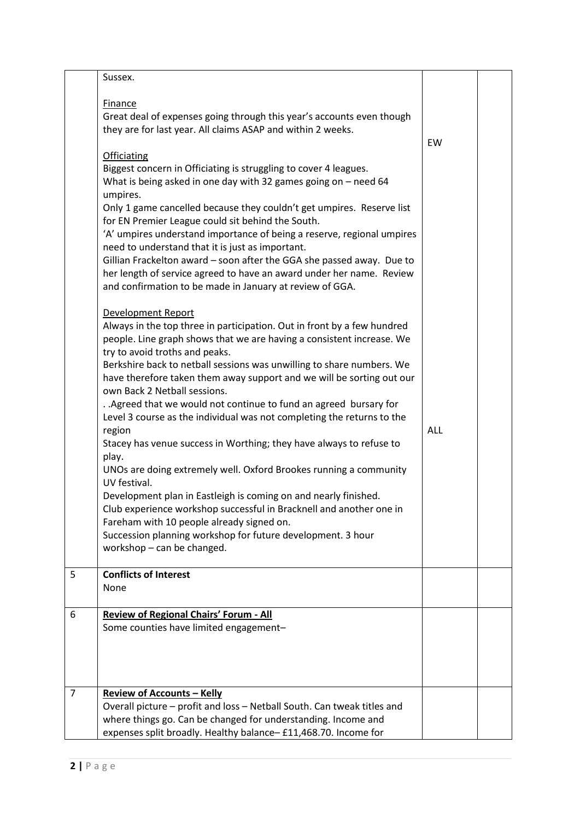|                | Sussex.                                                                                                                                                                                                                                                                                                                                                                                                                                                                                                                                                                                                                                                                                                                                                                                                                                                                                                                                                                                                        |            |  |
|----------------|----------------------------------------------------------------------------------------------------------------------------------------------------------------------------------------------------------------------------------------------------------------------------------------------------------------------------------------------------------------------------------------------------------------------------------------------------------------------------------------------------------------------------------------------------------------------------------------------------------------------------------------------------------------------------------------------------------------------------------------------------------------------------------------------------------------------------------------------------------------------------------------------------------------------------------------------------------------------------------------------------------------|------------|--|
|                | <b>Finance</b><br>Great deal of expenses going through this year's accounts even though<br>they are for last year. All claims ASAP and within 2 weeks.<br><b>Officiating</b><br>Biggest concern in Officiating is struggling to cover 4 leagues.<br>What is being asked in one day with 32 games going on $-$ need 64<br>umpires.<br>Only 1 game cancelled because they couldn't get umpires. Reserve list<br>for EN Premier League could sit behind the South.<br>'A' umpires understand importance of being a reserve, regional umpires<br>need to understand that it is just as important.<br>Gillian Frackelton award - soon after the GGA she passed away. Due to<br>her length of service agreed to have an award under her name. Review<br>and confirmation to be made in January at review of GGA.                                                                                                                                                                                                     | EW         |  |
|                | Development Report<br>Always in the top three in participation. Out in front by a few hundred<br>people. Line graph shows that we are having a consistent increase. We<br>try to avoid troths and peaks.<br>Berkshire back to netball sessions was unwilling to share numbers. We<br>have therefore taken them away support and we will be sorting out our<br>own Back 2 Netball sessions.<br>. . Agreed that we would not continue to fund an agreed bursary for<br>Level 3 course as the individual was not completing the returns to the<br>region<br>Stacey has venue success in Worthing; they have always to refuse to<br>play.<br>UNOs are doing extremely well. Oxford Brookes running a community<br>UV festival.<br>Development plan in Eastleigh is coming on and nearly finished.<br>Club experience workshop successful in Bracknell and another one in<br>Fareham with 10 people already signed on.<br>Succession planning workshop for future development. 3 hour<br>workshop - can be changed. | <b>ALL</b> |  |
| 5              | <b>Conflicts of Interest</b><br>None                                                                                                                                                                                                                                                                                                                                                                                                                                                                                                                                                                                                                                                                                                                                                                                                                                                                                                                                                                           |            |  |
| 6              | Review of Regional Chairs' Forum - All<br>Some counties have limited engagement-                                                                                                                                                                                                                                                                                                                                                                                                                                                                                                                                                                                                                                                                                                                                                                                                                                                                                                                               |            |  |
| $\overline{7}$ | <b>Review of Accounts - Kelly</b><br>Overall picture - profit and loss - Netball South. Can tweak titles and<br>where things go. Can be changed for understanding. Income and<br>expenses split broadly. Healthy balance- £11,468.70. Income for                                                                                                                                                                                                                                                                                                                                                                                                                                                                                                                                                                                                                                                                                                                                                               |            |  |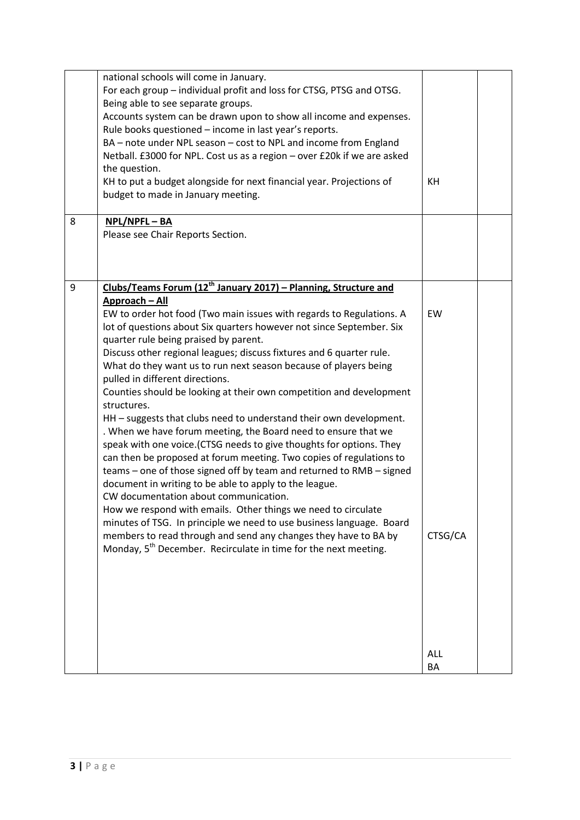|   | national schools will come in January.<br>For each group - individual profit and loss for CTSG, PTSG and OTSG.<br>Being able to see separate groups.<br>Accounts system can be drawn upon to show all income and expenses.<br>Rule books questioned - income in last year's reports.<br>BA - note under NPL season - cost to NPL and income from England<br>Netball. £3000 for NPL. Cost us as a region - over £20k if we are asked<br>the question.<br>KH to put a budget alongside for next financial year. Projections of<br>budget to made in January meeting.                                                                                                                                                                                                                                                                                                                                                                                                                                                                                                                                                                                                                                                                                                                                                      | KH               |  |
|---|-------------------------------------------------------------------------------------------------------------------------------------------------------------------------------------------------------------------------------------------------------------------------------------------------------------------------------------------------------------------------------------------------------------------------------------------------------------------------------------------------------------------------------------------------------------------------------------------------------------------------------------------------------------------------------------------------------------------------------------------------------------------------------------------------------------------------------------------------------------------------------------------------------------------------------------------------------------------------------------------------------------------------------------------------------------------------------------------------------------------------------------------------------------------------------------------------------------------------------------------------------------------------------------------------------------------------|------------------|--|
| 8 | NPL/NPFL-BA<br>Please see Chair Reports Section.                                                                                                                                                                                                                                                                                                                                                                                                                                                                                                                                                                                                                                                                                                                                                                                                                                                                                                                                                                                                                                                                                                                                                                                                                                                                        |                  |  |
| 9 | Clubs/Teams Forum (12 <sup>th</sup> January 2017) - Planning, Structure and<br>Approach - All<br>EW to order hot food (Two main issues with regards to Regulations. A<br>lot of questions about Six quarters however not since September. Six<br>quarter rule being praised by parent.<br>Discuss other regional leagues; discuss fixtures and 6 quarter rule.<br>What do they want us to run next season because of players being<br>pulled in different directions.<br>Counties should be looking at their own competition and development<br>structures.<br>HH - suggests that clubs need to understand their own development.<br>. When we have forum meeting, the Board need to ensure that we<br>speak with one voice.(CTSG needs to give thoughts for options. They<br>can then be proposed at forum meeting. Two copies of regulations to<br>teams – one of those signed off by team and returned to RMB – signed<br>document in writing to be able to apply to the league.<br>CW documentation about communication.<br>How we respond with emails. Other things we need to circulate<br>minutes of TSG. In principle we need to use business language. Board<br>members to read through and send any changes they have to BA by<br>Monday, 5 <sup>th</sup> December. Recirculate in time for the next meeting. | EW<br>CTSG/CA    |  |
|   |                                                                                                                                                                                                                                                                                                                                                                                                                                                                                                                                                                                                                                                                                                                                                                                                                                                                                                                                                                                                                                                                                                                                                                                                                                                                                                                         | <b>ALL</b><br>BA |  |